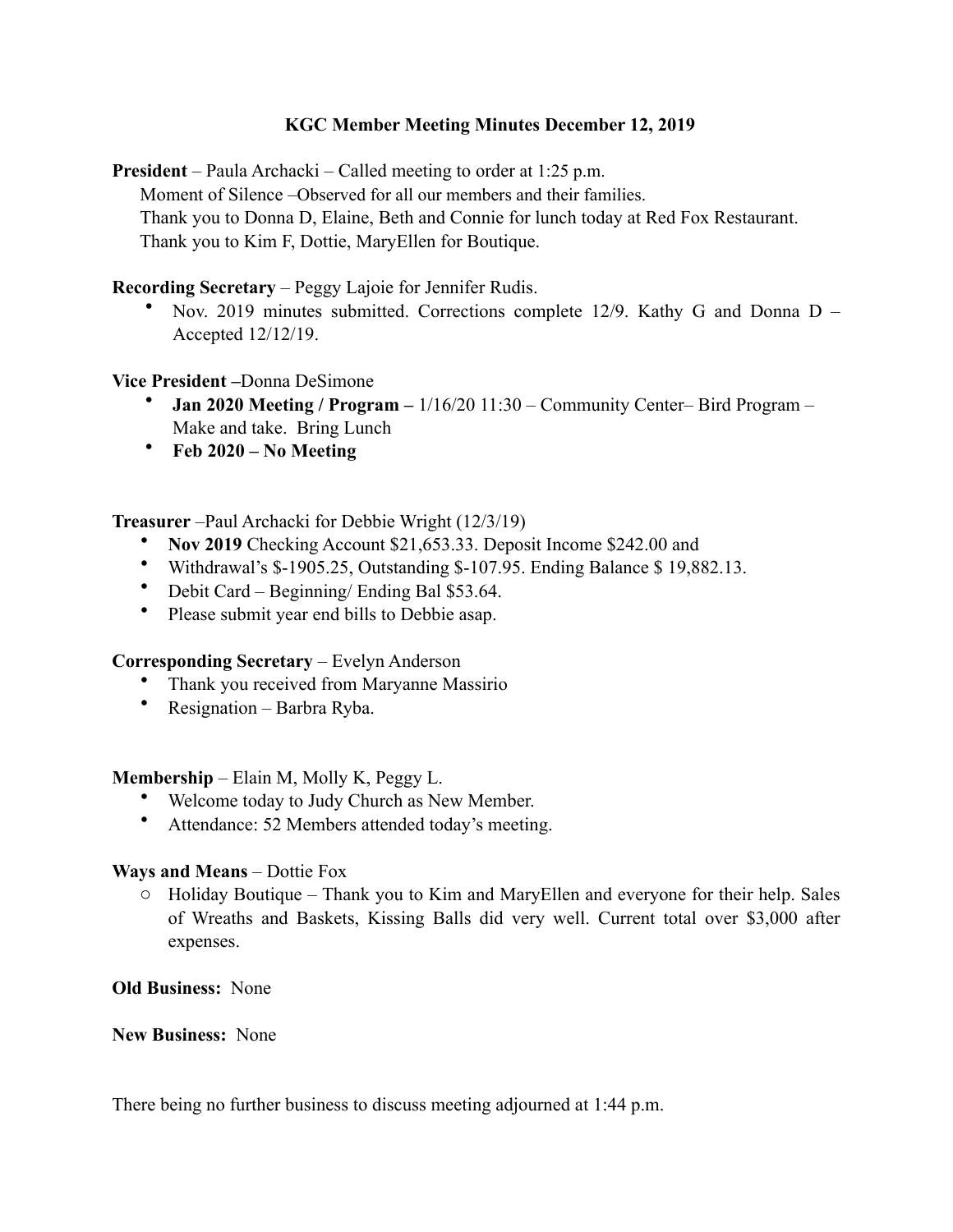# **KGC Member Meeting Minutes December 12, 2019**

**President** – Paula Archacki – Called meeting to order at 1:25 p.m. Moment of Silence –Observed for all our members and their families. Thank you to Donna D, Elaine, Beth and Connie for lunch today at Red Fox Restaurant. Thank you to Kim F, Dottie, MaryEllen for Boutique.

**Recording Secretary** – Peggy Lajoie for Jennifer Rudis.

• Nov. 2019 minutes submitted. Corrections complete 12/9. Kathy G and Donna D – Accepted 12/12/19.

### **Vice President –**Donna DeSimone

- **Jan 2020 Meeting / Program –** 1/16/20 11:30 Community Center– Bird Program Make and take. Bring Lunch
- **Feb 2020 No Meeting**

### **Treasurer** –Paul Archacki for Debbie Wright (12/3/19)

- **Nov 2019** Checking Account \$21,653.33. Deposit Income \$242.00 and
- Withdrawal's \$-1905.25, Outstanding \$-107.95. Ending Balance \$ 19,882.13.
- Debit Card Beginning/ Ending Bal \$53.64.
- Please submit year end bills to Debbie asap.

# **Corresponding Secretary** – Evelyn Anderson

- Thank you received from Maryanne Massirio
- Resignation Barbra Ryba.

# **Membership** – Elain M, Molly K, Peggy L.

- Welcome today to Judy Church as New Member.
- Attendance: 52 Members attended today's meeting.

# **Ways and Means** – Dottie Fox

 $\circ$  Holiday Boutique – Thank you to Kim and MaryEllen and everyone for their help. Sales of Wreaths and Baskets, Kissing Balls did very well. Current total over \$3,000 after expenses.

# **Old Business:** None

### **New Business:** None

There being no further business to discuss meeting adjourned at 1:44 p.m.